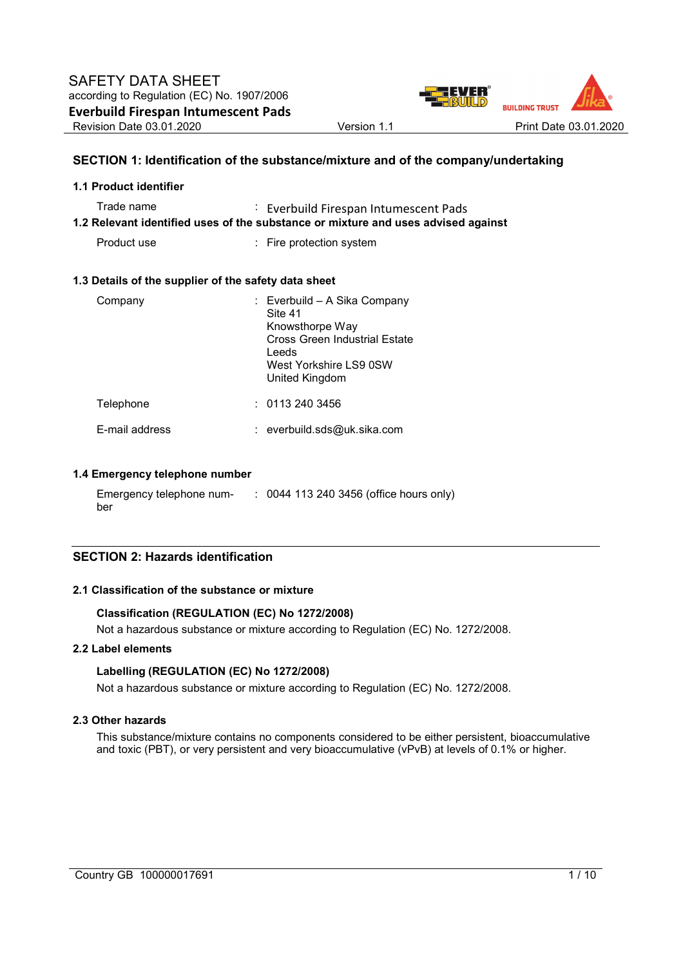

# **SECTION 1: Identification of the substance/mixture and of the company/undertaking**

| 1.1 Product identifier                                                                                                                        |                                                                                                                                                  |  |  |  |  |
|-----------------------------------------------------------------------------------------------------------------------------------------------|--------------------------------------------------------------------------------------------------------------------------------------------------|--|--|--|--|
| Trade name<br><b>Everbuild Firespan Intumescent Pads</b><br>1.2 Relevant identified uses of the substance or mixture and uses advised against |                                                                                                                                                  |  |  |  |  |
| Product use                                                                                                                                   | : Fire protection system                                                                                                                         |  |  |  |  |
| 1.3 Details of the supplier of the safety data sheet                                                                                          |                                                                                                                                                  |  |  |  |  |
| Company                                                                                                                                       | : Everbuild – A Sika Company<br>Site 41<br>Knowsthorpe Way<br>Cross Green Industrial Estate<br>Leeds<br>West Yorkshire LS9 0SW<br>United Kingdom |  |  |  |  |
| Telephone                                                                                                                                     | : 01132403456                                                                                                                                    |  |  |  |  |
| E-mail address                                                                                                                                | : everbuild.sds@uk.sika.com                                                                                                                      |  |  |  |  |

#### **1.4 Emergency telephone number**

Emergency telephone number : 0044 113 240 3456 (office hours only)

### **SECTION 2: Hazards identification**

#### **2.1 Classification of the substance or mixture**

#### **Classification (REGULATION (EC) No 1272/2008)**

Not a hazardous substance or mixture according to Regulation (EC) No. 1272/2008.

# **2.2 Label elements**

### **Labelling (REGULATION (EC) No 1272/2008)**

Not a hazardous substance or mixture according to Regulation (EC) No. 1272/2008.

#### **2.3 Other hazards**

This substance/mixture contains no components considered to be either persistent, bioaccumulative and toxic (PBT), or very persistent and very bioaccumulative (vPvB) at levels of 0.1% or higher.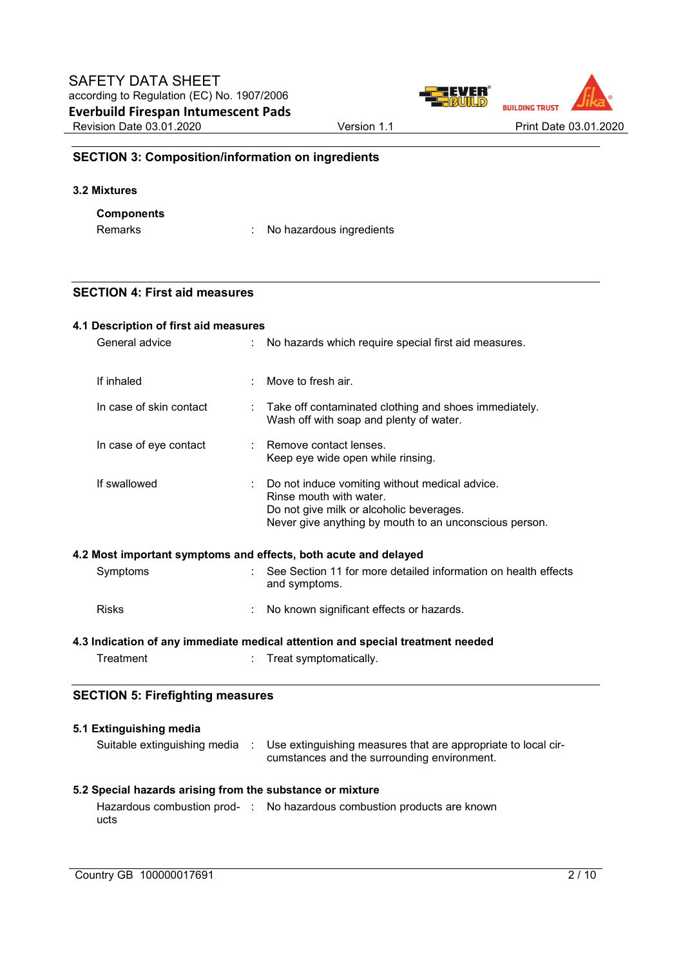

# **SECTION 3: Composition/information on ingredients**

#### **3.2 Mixtures**

# **Components**

Remarks : No hazardous ingredients

# **SECTION 4: First aid measures**

|                                                                              | 4.1 Description of first aid measures                     |  |                                                                                                                                                                                 |  |  |
|------------------------------------------------------------------------------|-----------------------------------------------------------|--|---------------------------------------------------------------------------------------------------------------------------------------------------------------------------------|--|--|
| General advice<br>No hazards which require special first aid measures.<br>÷. |                                                           |  |                                                                                                                                                                                 |  |  |
|                                                                              | If inhaled                                                |  | Move to fresh air.                                                                                                                                                              |  |  |
|                                                                              | In case of skin contact                                   |  | Take off contaminated clothing and shoes immediately.<br>Wash off with soap and plenty of water.                                                                                |  |  |
|                                                                              | In case of eye contact                                    |  | Remove contact lenses.<br>Keep eye wide open while rinsing.                                                                                                                     |  |  |
|                                                                              | If swallowed                                              |  | Do not induce vomiting without medical advice.<br>Rinse mouth with water.<br>Do not give milk or alcoholic beverages.<br>Never give anything by mouth to an unconscious person. |  |  |
|                                                                              |                                                           |  | 4.2 Most important symptoms and effects, both acute and delayed                                                                                                                 |  |  |
|                                                                              | Symptoms                                                  |  | See Section 11 for more detailed information on health effects<br>and symptoms.                                                                                                 |  |  |
|                                                                              | <b>Risks</b>                                              |  | No known significant effects or hazards.                                                                                                                                        |  |  |
|                                                                              |                                                           |  | 4.3 Indication of any immediate medical attention and special treatment needed                                                                                                  |  |  |
|                                                                              | Treatment                                                 |  | Treat symptomatically.                                                                                                                                                          |  |  |
| <b>SECTION 5: Firefighting measures</b>                                      |                                                           |  |                                                                                                                                                                                 |  |  |
|                                                                              | 5.1 Extinguishing media                                   |  |                                                                                                                                                                                 |  |  |
|                                                                              | Suitable extinguishing media :                            |  | Use extinguishing measures that are appropriate to local cir-<br>cumstances and the surrounding environment.                                                                    |  |  |
|                                                                              | 5.2 Special hazards arising from the substance or mixture |  |                                                                                                                                                                                 |  |  |
|                                                                              |                                                           |  | Hazardous combustion prod- : No hazardous combustion products are known                                                                                                         |  |  |

ucts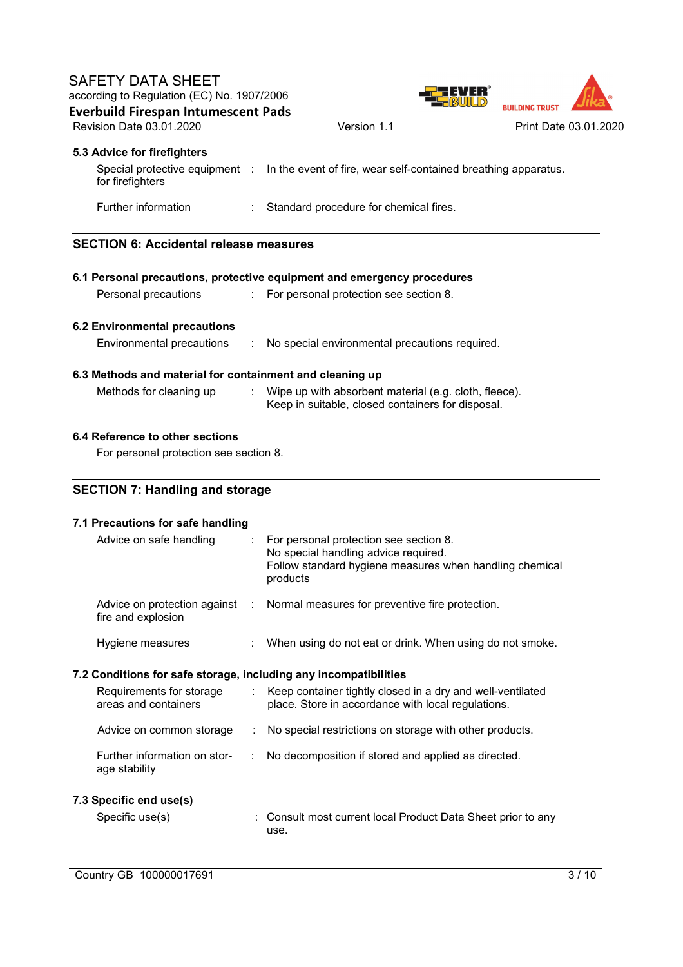

# **5.3 Advice for firefighters**

| for firefighters           | Special protective equipment : In the event of fire, wear self-contained breathing apparatus. |
|----------------------------|-----------------------------------------------------------------------------------------------|
| <b>Further information</b> | Standard procedure for chemical fires.                                                        |

# **SECTION 6: Accidental release measures**

| 6.1 Personal precautions, protective equipment and emergency procedures |                                                          |  |                                                                                                            |  |
|-------------------------------------------------------------------------|----------------------------------------------------------|--|------------------------------------------------------------------------------------------------------------|--|
|                                                                         | Personal precautions                                     |  | : For personal protection see section 8.                                                                   |  |
|                                                                         | 6.2 Environmental precautions                            |  |                                                                                                            |  |
|                                                                         | Environmental precautions                                |  | No special environmental precautions required.                                                             |  |
|                                                                         | 6.3 Methods and material for containment and cleaning up |  |                                                                                                            |  |
|                                                                         | Methods for cleaning up                                  |  | Wipe up with absorbent material (e.g. cloth, fleece).<br>Keep in suitable, closed containers for disposal. |  |
|                                                                         |                                                          |  |                                                                                                            |  |

# **6.4 Reference to other sections**

For personal protection see section 8.

# **SECTION 7: Handling and storage**

| 7.1 Precautions for safe handling                                |                               |                                                                                                                                                       |  |  |
|------------------------------------------------------------------|-------------------------------|-------------------------------------------------------------------------------------------------------------------------------------------------------|--|--|
| Advice on safe handling                                          | $\mathbb{R}^n$                | For personal protection see section 8.<br>No special handling advice required.<br>Follow standard hygiene measures when handling chemical<br>products |  |  |
| fire and explosion                                               |                               | Advice on protection against : Normal measures for preventive fire protection.                                                                        |  |  |
| Hygiene measures                                                 |                               | When using do not eat or drink. When using do not smoke.                                                                                              |  |  |
| 7.2 Conditions for safe storage, including any incompatibilities |                               |                                                                                                                                                       |  |  |
| Requirements for storage<br>areas and containers                 | $\mathcal{L}_{\mathcal{L}}$ . | Keep container tightly closed in a dry and well-ventilated<br>place. Store in accordance with local regulations.                                      |  |  |
| Advice on common storage                                         | ÷                             | No special restrictions on storage with other products.                                                                                               |  |  |
| Further information on stor-<br>age stability                    | ÷                             | No decomposition if stored and applied as directed.                                                                                                   |  |  |
| 7.3 Specific end use(s)                                          |                               |                                                                                                                                                       |  |  |
| Specific use(s)                                                  |                               | : Consult most current local Product Data Sheet prior to any<br>use.                                                                                  |  |  |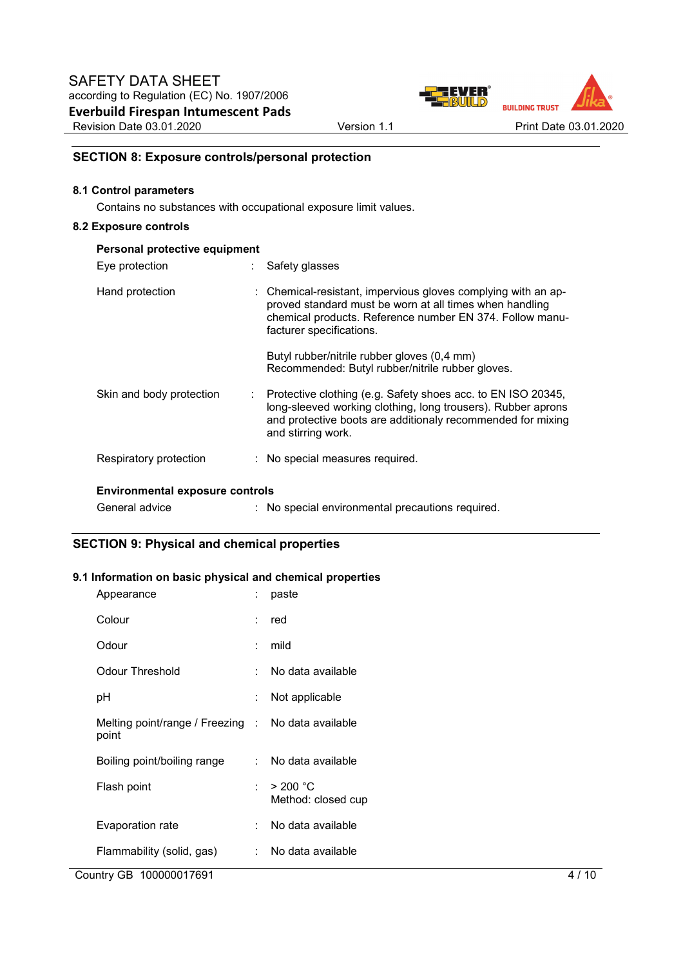

# **SECTION 8: Exposure controls/personal protection**

#### **8.1 Control parameters**

Contains no substances with occupational exposure limit values.

#### **8.2 Exposure controls**

| Personal protective equipment          |  |                                                                                                                                                                                                                   |  |
|----------------------------------------|--|-------------------------------------------------------------------------------------------------------------------------------------------------------------------------------------------------------------------|--|
| Eye protection                         |  | Safety glasses                                                                                                                                                                                                    |  |
| Hand protection                        |  | Chemical-resistant, impervious gloves complying with an ap-<br>proved standard must be worn at all times when handling<br>chemical products. Reference number EN 374. Follow manu-<br>facturer specifications.    |  |
|                                        |  | Butyl rubber/nitrile rubber gloves (0,4 mm)<br>Recommended: Butyl rubber/nitrile rubber gloves.                                                                                                                   |  |
| Skin and body protection               |  | Protective clothing (e.g. Safety shoes acc. to EN ISO 20345,<br>long-sleeved working clothing, long trousers). Rubber aprons<br>and protective boots are additionaly recommended for mixing<br>and stirring work. |  |
| Respiratory protection                 |  | : No special measures required.                                                                                                                                                                                   |  |
| <b>Environmental exposure controls</b> |  |                                                                                                                                                                                                                   |  |

# General advice : No special environmental precautions required.

# **SECTION 9: Physical and chemical properties**

### **9.1 Information on basic physical and chemical properties**

| Appearance                                                  |          | paste                          |
|-------------------------------------------------------------|----------|--------------------------------|
| Colour                                                      |          | : red                          |
| Odour                                                       | ٠.       | mild                           |
| Odour Threshold                                             |          | No data available              |
| рH                                                          |          | Not applicable                 |
| Melting point/range / Freezing : No data available<br>point |          |                                |
| Boiling point/boiling range                                 | <b>.</b> | No data available              |
| Flash point                                                 |          | > 200 °C<br>Method: closed cup |
| Evaporation rate                                            |          | No data available              |
| Flammability (solid, gas)                                   |          | No data available              |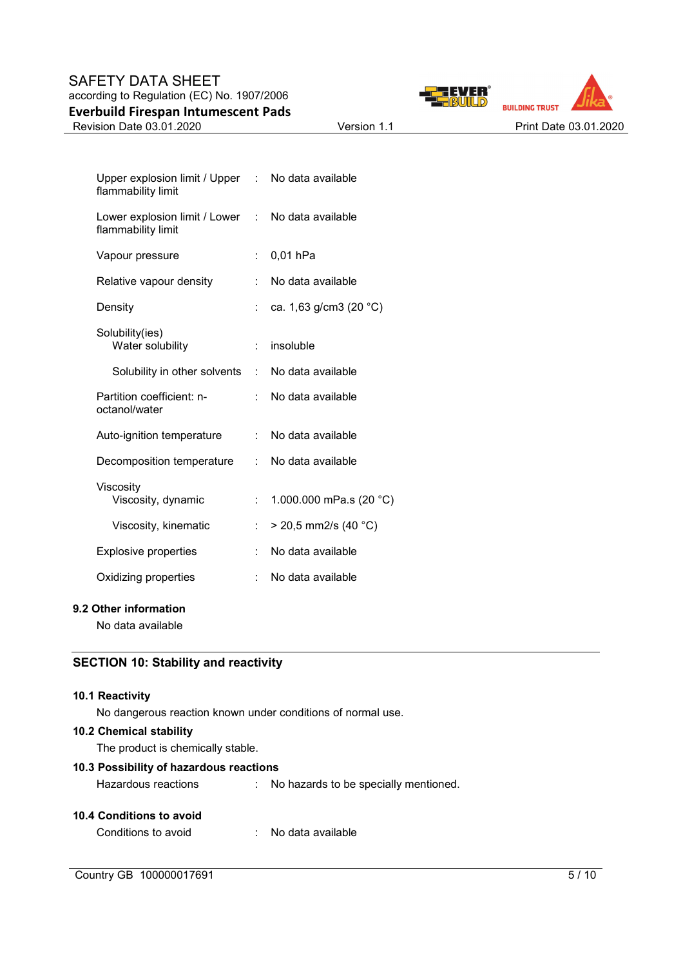# SAFETY DATA SHEET according to Regulation (EC) No. 1907/2006 **Everbuild Firespan Intumescent Pads**





| Upper explosion limit / Upper : No data available<br>flammability limit |                      |                           |
|-------------------------------------------------------------------------|----------------------|---------------------------|
| Lower explosion limit / Lower<br>flammability limit                     | t.                   | No data available         |
| Vapour pressure                                                         | t.                   | 0,01 hPa                  |
| Relative vapour density                                                 | t.                   | No data available         |
| Density                                                                 | $\ddot{\cdot}$       | ca. 1,63 g/cm3 (20 °C)    |
| Solubility(ies)<br>Water solubility                                     | t.                   | insoluble                 |
| Solubility in other solvents                                            |                      | : No data available       |
| Partition coefficient: n-<br>octanol/water                              | t.                   | No data available         |
| Auto-ignition temperature                                               | t.                   | No data available         |
| Decomposition temperature                                               | t.                   | No data available         |
| Viscosity<br>Viscosity, dynamic                                         | $\ddot{\phantom{a}}$ | 1.000.000 mPa.s $(20 °C)$ |
| Viscosity, kinematic                                                    |                      | $>$ 20,5 mm2/s (40 °C)    |
| <b>Explosive properties</b>                                             | Ì.                   | No data available         |
| Oxidizing properties                                                    |                      | No data available         |
|                                                                         |                      |                           |

# **9.2 Other information**

No data available

# **SECTION 10: Stability and reactivity**

#### **10.1 Reactivity**

No dangerous reaction known under conditions of normal use.

### **10.2 Chemical stability**

The product is chemically stable.

## **10.3 Possibility of hazardous reactions**

Hazardous reactions : No hazards to be specially mentioned.

#### **10.4 Conditions to avoid**

| Conditions to avoid |  | No data available |
|---------------------|--|-------------------|
|---------------------|--|-------------------|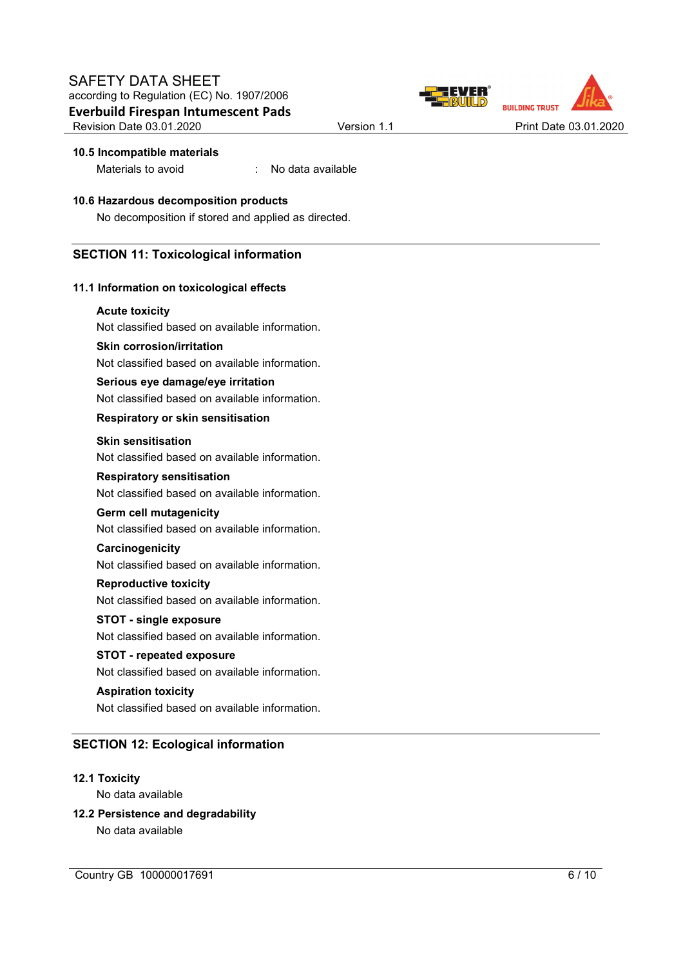



### **10.5 Incompatible materials**

Materials to avoid : No data available

# **10.6 Hazardous decomposition products**

No decomposition if stored and applied as directed.

# **SECTION 11: Toxicological information**

### **11.1 Information on toxicological effects**

#### **Acute toxicity**

Not classified based on available information.

### **Skin corrosion/irritation**

Not classified based on available information.

### **Serious eye damage/eye irritation**

Not classified based on available information.

### **Respiratory or skin sensitisation**

#### **Skin sensitisation**

Not classified based on available information.

### **Respiratory sensitisation**

Not classified based on available information.

#### **Germ cell mutagenicity**

Not classified based on available information.

#### **Carcinogenicity**

Not classified based on available information.

### **Reproductive toxicity**

Not classified based on available information.

# **STOT - single exposure**

Not classified based on available information.

# **STOT - repeated exposure**

Not classified based on available information.

### **Aspiration toxicity**

Not classified based on available information.

# **SECTION 12: Ecological information**

# **12.1 Toxicity**

No data available

# **12.2 Persistence and degradability**

No data available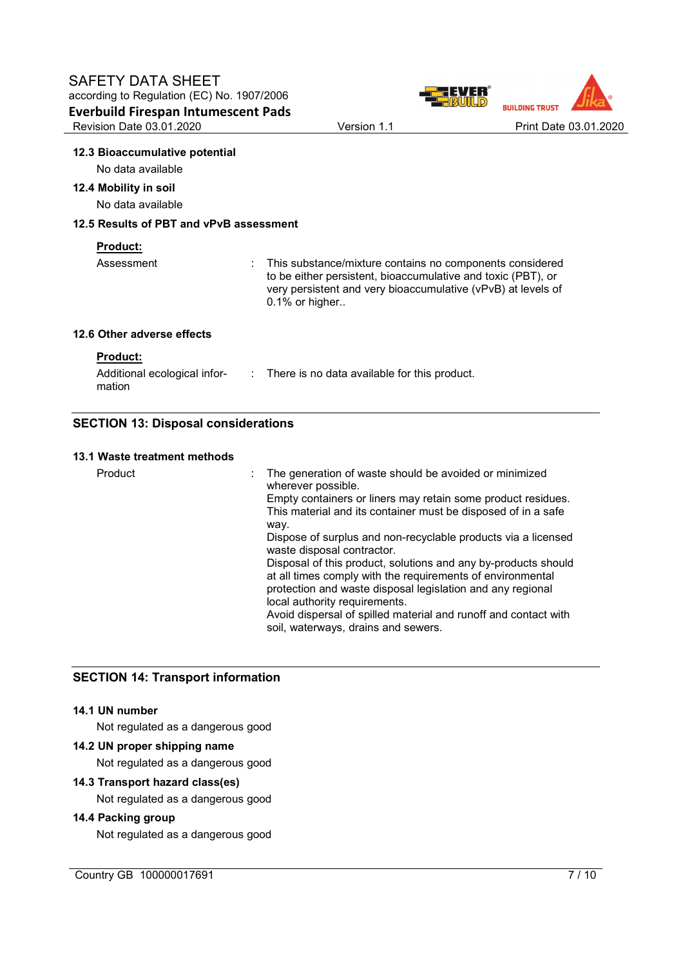

#### **12.3 Bioaccumulative potential**

No data available

### **12.4 Mobility in soil**

No data available

# **12.5 Results of PBT and vPvB assessment**

### **Product:**

| Assessment | : This substance/mixture contains no components considered<br>to be either persistent, bioaccumulative and toxic (PBT), or<br>very persistent and very bioaccumulative (vPvB) at levels of<br>$0.1\%$ or higher |
|------------|-----------------------------------------------------------------------------------------------------------------------------------------------------------------------------------------------------------------|
|            |                                                                                                                                                                                                                 |

# **12.6 Other adverse effects**

| <b>Product:</b> |  |
|-----------------|--|
|                 |  |

| Additional ecological infor- | : There is no data available for this product. |
|------------------------------|------------------------------------------------|
| mation                       |                                                |

# **SECTION 13: Disposal considerations**

### **13.1 Waste treatment methods**

| : The generation of waste should be avoided or minimized<br>wherever possible.                                                                                                                                              |
|-----------------------------------------------------------------------------------------------------------------------------------------------------------------------------------------------------------------------------|
| Empty containers or liners may retain some product residues.<br>This material and its container must be disposed of in a safe                                                                                               |
| way.                                                                                                                                                                                                                        |
| Dispose of surplus and non-recyclable products via a licensed<br>waste disposal contractor.                                                                                                                                 |
| Disposal of this product, solutions and any by-products should<br>at all times comply with the requirements of environmental<br>protection and waste disposal legislation and any regional<br>local authority requirements. |
| Avoid dispersal of spilled material and runoff and contact with<br>soil, waterways, drains and sewers.                                                                                                                      |
|                                                                                                                                                                                                                             |

# **SECTION 14: Transport information**

# **14.1 UN number**

Not regulated as a dangerous good

# **14.2 UN proper shipping name**

Not regulated as a dangerous good

# **14.3 Transport hazard class(es)**

Not regulated as a dangerous good

# **14.4 Packing group**

Not regulated as a dangerous good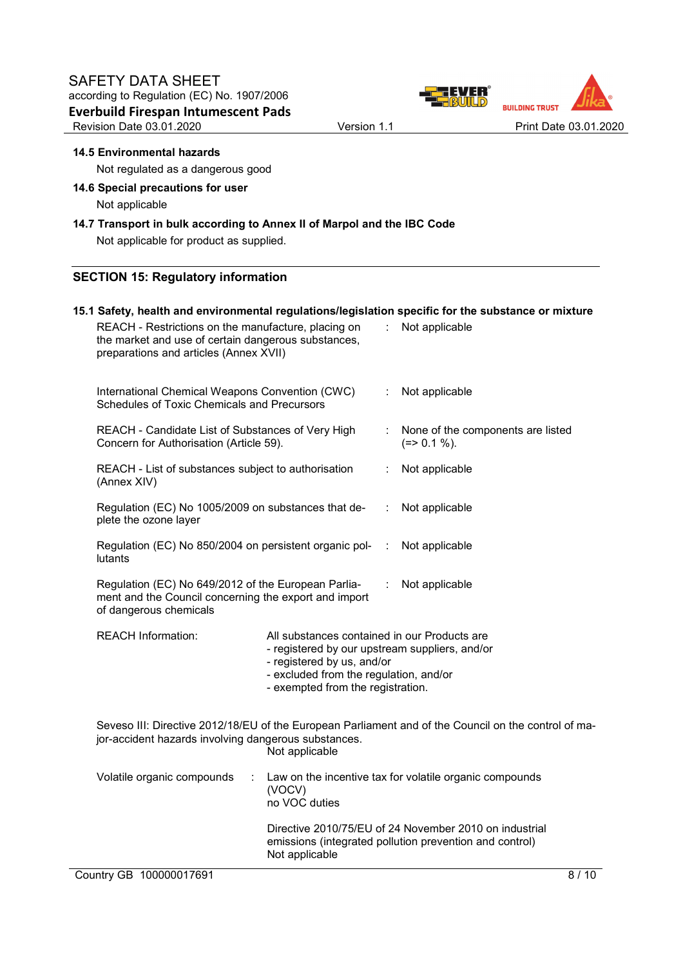

### **14.5 Environmental hazards**

Not regulated as a dangerous good

# **14.6 Special precautions for user**  Not applicable

**14.7 Transport in bulk according to Annex II of Marpol and the IBC Code** 

Not applicable for product as supplied.

# **SECTION 15: Regulatory information**

### **15.1 Safety, health and environmental regulations/legislation specific for the substance or mixture**

| REACH - Restrictions on the manufacture, placing on<br>the market and use of certain dangerous substances,<br>preparations and articles (Annex XVII)                           |                                                                                                |                                                                                                                                                                                                             |                | Not applicable                                                                                                    |  |  |  |
|--------------------------------------------------------------------------------------------------------------------------------------------------------------------------------|------------------------------------------------------------------------------------------------|-------------------------------------------------------------------------------------------------------------------------------------------------------------------------------------------------------------|----------------|-------------------------------------------------------------------------------------------------------------------|--|--|--|
|                                                                                                                                                                                | International Chemical Weapons Convention (CWC)<br>Schedules of Toxic Chemicals and Precursors | ÷                                                                                                                                                                                                           | Not applicable |                                                                                                                   |  |  |  |
| REACH - Candidate List of Substances of Very High<br>Concern for Authorisation (Article 59).                                                                                   |                                                                                                |                                                                                                                                                                                                             |                | None of the components are listed<br>$(=>0.1\%).$                                                                 |  |  |  |
| REACH - List of substances subject to authorisation<br>(Annex XIV)                                                                                                             |                                                                                                |                                                                                                                                                                                                             |                | Not applicable                                                                                                    |  |  |  |
| Regulation (EC) No 1005/2009 on substances that de-<br>plete the ozone layer                                                                                                   |                                                                                                |                                                                                                                                                                                                             |                | Not applicable                                                                                                    |  |  |  |
| Regulation (EC) No 850/2004 on persistent organic pol-<br>lutants                                                                                                              |                                                                                                |                                                                                                                                                                                                             |                | Not applicable                                                                                                    |  |  |  |
| Regulation (EC) No 649/2012 of the European Parlia-<br>Not applicable<br>÷<br>ment and the Council concerning the export and import<br>of dangerous chemicals                  |                                                                                                |                                                                                                                                                                                                             |                |                                                                                                                   |  |  |  |
|                                                                                                                                                                                | <b>REACH Information:</b>                                                                      | All substances contained in our Products are<br>- registered by our upstream suppliers, and/or<br>- registered by us, and/or<br>- excluded from the regulation, and/or<br>- exempted from the registration. |                |                                                                                                                   |  |  |  |
| Seveso III: Directive 2012/18/EU of the European Parliament and of the Council on the control of ma-<br>jor-accident hazards involving dangerous substances.<br>Not applicable |                                                                                                |                                                                                                                                                                                                             |                |                                                                                                                   |  |  |  |
|                                                                                                                                                                                | Volatile organic compounds<br>÷                                                                | (VOCV)<br>no VOC duties                                                                                                                                                                                     |                | Law on the incentive tax for volatile organic compounds                                                           |  |  |  |
|                                                                                                                                                                                |                                                                                                | Not applicable                                                                                                                                                                                              |                | Directive 2010/75/EU of 24 November 2010 on industrial<br>emissions (integrated pollution prevention and control) |  |  |  |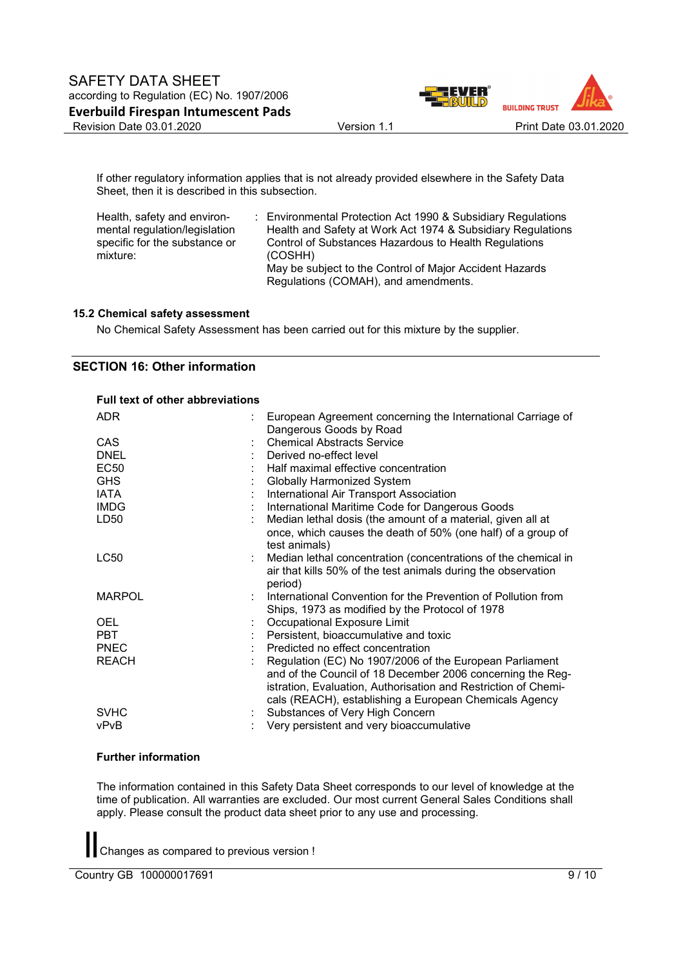

If other regulatory information applies that is not already provided elsewhere in the Safety Data Sheet, then it is described in this subsection.

| Health, safety and environ-   | : Environmental Protection Act 1990 & Subsidiary Regulations |
|-------------------------------|--------------------------------------------------------------|
| mental regulation/legislation | Health and Safety at Work Act 1974 & Subsidiary Regulations  |
| specific for the substance or | Control of Substances Hazardous to Health Regulations        |
| mixture:                      | (COSHH)                                                      |
|                               | May be subject to the Control of Major Accident Hazards      |
|                               | Regulations (COMAH), and amendments.                         |

#### **15.2 Chemical safety assessment**

No Chemical Safety Assessment has been carried out for this mixture by the supplier.

# **SECTION 16: Other information**

### **Full text of other abbreviations**

| <b>ADR</b>       | European Agreement concerning the International Carriage of<br>Dangerous Goods by Road                                       |
|------------------|------------------------------------------------------------------------------------------------------------------------------|
| <b>CAS</b>       | <b>Chemical Abstracts Service</b>                                                                                            |
| <b>DNEL</b>      | Derived no-effect level                                                                                                      |
| <b>EC50</b>      | Half maximal effective concentration                                                                                         |
| <b>GHS</b>       | <b>Globally Harmonized System</b>                                                                                            |
| IATA             | International Air Transport Association                                                                                      |
| <b>IMDG</b>      | International Maritime Code for Dangerous Goods                                                                              |
| LD <sub>50</sub> | Median lethal dosis (the amount of a material, given all at                                                                  |
|                  | once, which causes the death of 50% (one half) of a group of<br>test animals)                                                |
| <b>LC50</b>      | Median lethal concentration (concentrations of the chemical in                                                               |
|                  | air that kills 50% of the test animals during the observation<br>period)                                                     |
| <b>MARPOL</b>    | International Convention for the Prevention of Pollution from<br>Ships, 1973 as modified by the Protocol of 1978             |
| <b>OEL</b>       | Occupational Exposure Limit                                                                                                  |
| <b>PBT</b>       | Persistent, bioaccumulative and toxic                                                                                        |
| <b>PNEC</b>      | Predicted no effect concentration                                                                                            |
| <b>REACH</b>     | Regulation (EC) No 1907/2006 of the European Parliament                                                                      |
|                  | and of the Council of 18 December 2006 concerning the Reg-<br>istration, Evaluation, Authorisation and Restriction of Chemi- |
|                  | cals (REACH), establishing a European Chemicals Agency                                                                       |
| <b>SVHC</b>      | Substances of Very High Concern                                                                                              |
| vPvB             | Very persistent and very bioaccumulative                                                                                     |
|                  |                                                                                                                              |

#### **Further information**

The information contained in this Safety Data Sheet corresponds to our level of knowledge at the time of publication. All warranties are excluded. Our most current General Sales Conditions shall apply. Please consult the product data sheet prior to any use and processing.

Changes as compared to previous version !